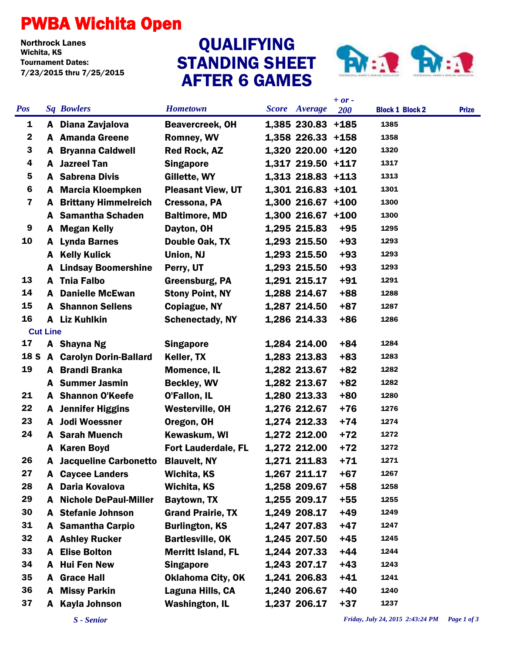## PWBA Wichita Open

Northrock Lanes Tournament Dates: 7/23/2015 thru 7/25/2015

## STANDING SHEET AFTER 6 GAMES QUALIFYING



|                         |                 |                              |                            |                      | $+ or -$ |                        |              |
|-------------------------|-----------------|------------------------------|----------------------------|----------------------|----------|------------------------|--------------|
| <b>Pos</b>              |                 | <b>Sq Bowlers</b>            | <b>Hometown</b>            | <b>Score</b> Average | 200      | <b>Block 1 Block 2</b> | <b>Prize</b> |
| 1                       |                 | A Diana Zavjalova            | <b>Beavercreek, OH</b>     | 1,385 230.83 +185    |          | 1385                   |              |
| $\mathbf{2}$            |                 | A Amanda Greene              | <b>Romney, WV</b>          | 1,358 226.33 +158    |          | 1358                   |              |
| 3                       |                 | <b>A</b> Bryanna Caldwell    | <b>Red Rock, AZ</b>        | 1,320 220.00 +120    |          | 1320                   |              |
| 4                       |                 | A Jazreel Tan                | <b>Singapore</b>           | 1,317 219.50 +117    |          | 1317                   |              |
| 5                       |                 | <b>A</b> Sabrena Divis       | Gillette, WY               | 1,313 218.83 +113    |          | 1313                   |              |
| $6\phantom{1}6$         |                 | A Marcia Kloempken           | <b>Pleasant View, UT</b>   | 1,301 216.83 +101    |          | 1301                   |              |
| $\overline{\mathbf{z}}$ | A               | <b>Brittany Himmelreich</b>  | Cressona, PA               | $1,300$ 216.67 +100  |          | 1300                   |              |
|                         | A               | <b>Samantha Schaden</b>      | <b>Baltimore, MD</b>       | $1,300$ 216.67 +100  |          | 1300                   |              |
| 9                       |                 | A Megan Kelly                | Dayton, OH                 | 1,295 215.83         | $+95$    | 1295                   |              |
| 10                      |                 | A Lynda Barnes               | Double Oak, TX             | 1,293 215.50         | $+93$    | 1293                   |              |
|                         |                 | <b>A</b> Kelly Kulick        | Union, NJ                  | 1,293 215.50         | $+93$    | 1293                   |              |
|                         | A               | <b>Lindsay Boomershine</b>   | Perry, UT                  | 1,293 215.50         | $+93$    | 1293                   |              |
| 13                      |                 | A Tnia Falbo                 | <b>Greensburg, PA</b>      | 1,291 215.17         | $+91$    | 1291                   |              |
| 14                      | A               | <b>Danielle McEwan</b>       | <b>Stony Point, NY</b>     | 1,288 214.67         | $+88$    | 1288                   |              |
| 15                      |                 | <b>A</b> Shannon Sellens     | Copiague, NY               | 1,287 214.50         | $+87$    | 1287                   |              |
| 16                      |                 | A Liz Kuhlkin                | <b>Schenectady, NY</b>     | 1,286 214.33         | $+86$    | 1286                   |              |
|                         | <b>Cut Line</b> |                              |                            |                      |          |                        |              |
| 17                      |                 | A Shayna Ng                  | <b>Singapore</b>           | 1,284 214.00         | +84      | 1284                   |              |
|                         |                 | 18 S A Carolyn Dorin-Ballard | Keller, TX                 | 1,283 213.83         | $+83$    | 1283                   |              |
| 19                      |                 | A Brandi Branka              | <b>Momence, IL</b>         | 1,282 213.67         | $+82$    | 1282                   |              |
|                         |                 | A Summer Jasmin              | <b>Beckley, WV</b>         | 1,282 213.67         | $+82$    | 1282                   |              |
| 21                      |                 | A Shannon O'Keefe            | O'Fallon, IL               | 1,280 213.33         | $+80$    | 1280                   |              |
| 22                      |                 | <b>A</b> Jennifer Higgins    | <b>Westerville, OH</b>     | 1,276 212.67         | $+76$    | 1276                   |              |
| 23                      |                 | A Jodi Woessner              | Oregon, OH                 | 1,274 212.33         | $+74$    | 1274                   |              |
| 24                      |                 | <b>A</b> Sarah Muench        | Kewaskum, WI               | 1,272 212.00         | $+72$    | 1272                   |              |
|                         | A               | <b>Karen Boyd</b>            | <b>Fort Lauderdale, FL</b> | 1,272 212.00         | $+72$    | 1272                   |              |
| 26                      | A               | <b>Jacqueline Carbonetto</b> | <b>Blauvelt, NY</b>        | 1,271 211.83         | $+71$    | 1271                   |              |
| 27                      |                 | <b>A</b> Caycee Landers      | Wichita, KS                | 1,267 211.17         | $+67$    | 1267                   |              |
| 28                      | A               | Daria Kovalova               | Wichita, KS                | 1,258 209.67         | $+58$    | 1258                   |              |
| 29                      | A               | <b>Nichole DePaul-Miller</b> | Baytown, TX                | 1,255 209.17         | $+55$    | 1255                   |              |
| 30                      |                 | A Stefanie Johnson           | <b>Grand Prairie, TX</b>   | 1,249 208.17         | $+49$    | 1249                   |              |
| 31                      | A               | <b>Samantha Carpio</b>       | <b>Burlington, KS</b>      | 1,247 207.83         | $+47$    | 1247                   |              |
| 32                      |                 | <b>A</b> Ashley Rucker       | <b>Bartlesville, OK</b>    | 1,245 207.50         | $+45$    | 1245                   |              |
| 33                      | A               | <b>Elise Bolton</b>          | <b>Merritt Island, FL</b>  | 1,244 207.33         | $+44$    | 1244                   |              |
| 34                      | A               | <b>Hui Fen New</b>           | <b>Singapore</b>           | 1,243 207.17         | $+43$    | 1243                   |              |
| 35                      | A               | <b>Grace Hall</b>            | <b>Oklahoma City, OK</b>   | 1,241 206.83         | $+41$    | 1241                   |              |
| 36                      | A               | <b>Missy Parkin</b>          | Laguna Hills, CA           | 1,240 206.67         | $+40$    | 1240                   |              |
| 37                      | A               | <b>Kayla Johnson</b>         | <b>Washington, IL</b>      | 1,237 206.17         | $+37$    | 1237                   |              |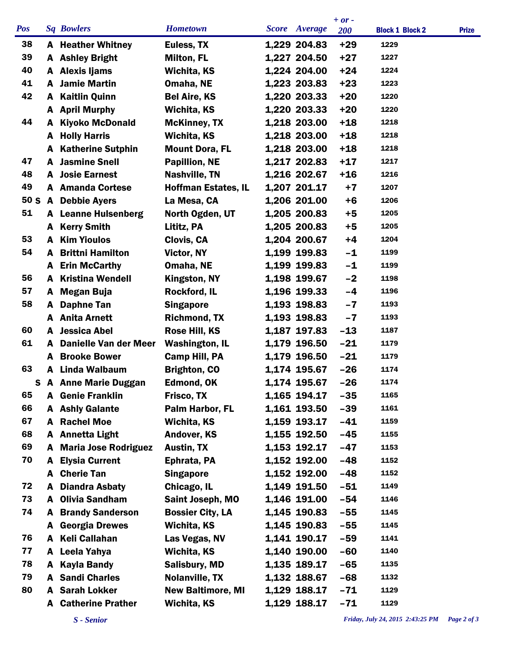|                 |   |                            |                            |               | $+ or -$   |                        |              |
|-----------------|---|----------------------------|----------------------------|---------------|------------|------------------------|--------------|
| <b>Pos</b>      |   | <b>Sq Bowlers</b>          | <b>Hometown</b>            | Score Average | <b>200</b> | <b>Block 1 Block 2</b> | <b>Prize</b> |
| 38              |   | <b>A</b> Heather Whitney   | Euless, TX                 | 1,229 204.83  | $+29$      | 1229                   |              |
| 39              |   | <b>A</b> Ashley Bright     | <b>Milton, FL</b>          | 1,227 204.50  | $+27$      | 1227                   |              |
| 40              |   | A Alexis Ijams             | Wichita, KS                | 1,224 204.00  | $+24$      | 1224                   |              |
| 41              | A | <b>Jamie Martin</b>        | Omaha, NE                  | 1,223 203.83  | $+23$      | 1223                   |              |
| 42              | A | <b>Kaitlin Quinn</b>       | <b>Bel Aire, KS</b>        | 1,220 203.33  | $+20$      | 1220                   |              |
|                 |   | A April Murphy             | Wichita, KS                | 1,220 203.33  | $+20$      | 1220                   |              |
| 44              | A | <b>Kiyoko McDonald</b>     | <b>McKinney, TX</b>        | 1,218 203.00  | $+18$      | 1218                   |              |
|                 | A | <b>Holly Harris</b>        | Wichita, KS                | 1,218 203.00  | $+18$      | 1218                   |              |
|                 | A | <b>Katherine Sutphin</b>   | <b>Mount Dora, FL</b>      | 1,218 203.00  | $+18$      | 1218                   |              |
| 47              | A | <b>Jasmine Snell</b>       | <b>Papillion, NE</b>       | 1,217 202.83  | $+17$      | 1217                   |              |
| 48              |   | <b>A</b> Josie Earnest     | <b>Nashville, TN</b>       | 1,216 202.67  | $+16$      | 1216                   |              |
| 49              |   | <b>A</b> Amanda Cortese    | <b>Hoffman Estates, IL</b> | 1,207 201.17  | $+7$       | 1207                   |              |
| 50 <sub>S</sub> |   | A Debbie Ayers             | La Mesa, CA                | 1,206 201.00  | $+6$       | 1206                   |              |
| 51              |   | <b>A</b> Leanne Hulsenberg | North Ogden, UT            | 1,205 200.83  | $+5$       | 1205                   |              |
|                 |   | <b>A</b> Kerry Smith       | Lititz, PA                 | 1,205 200.83  | $+5$       | 1205                   |              |
| 53              | A | <b>Kim Yioulos</b>         | Clovis, CA                 | 1,204 200.67  | $+4$       | 1204                   |              |
| 54              |   | <b>A</b> Brittni Hamilton  | Victor, NY                 | 1,199 199.83  | $-1$       | 1199                   |              |
|                 |   | A Erin McCarthy            | Omaha, NE                  | 1,199 199.83  | $-1$       | 1199                   |              |
| 56              | A | <b>Kristina Wendell</b>    | Kingston, NY               | 1,198 199.67  | $-2$       | 1198                   |              |
| 57              | A | <b>Megan Buja</b>          | Rockford, IL               | 1,196 199.33  | $-4$       | 1196                   |              |
| 58              | A | <b>Daphne Tan</b>          | <b>Singapore</b>           | 1,193 198.83  | $-7$       | 1193                   |              |
|                 |   | A Anita Arnett             | <b>Richmond, TX</b>        | 1,193 198.83  | $-7$       | 1193                   |              |
| 60              | A | <b>Jessica Abel</b>        | Rose Hill, KS              | 1,187 197.83  | $-13$      | 1187                   |              |
| 61              | A | Danielle Van der Meer      | <b>Washington, IL</b>      | 1,179 196.50  | $-21$      | 1179                   |              |
|                 | A | <b>Brooke Bower</b>        | <b>Camp Hill, PA</b>       | 1,179 196.50  | $-21$      | 1179                   |              |
| 63              | A | Linda Walbaum              | <b>Brighton, CO</b>        | 1,174 195.67  | $-26$      | 1174                   |              |
| S               |   | <b>A</b> Anne Marie Duggan | <b>Edmond, OK</b>          | 1,174 195.67  | $-26$      | 1174                   |              |
| 65              |   | <b>A</b> Genie Franklin    | Frisco, TX                 | 1,165 194.17  | $-35$      | 1165                   |              |
| 66              |   | A Ashly Galante            | Palm Harbor, FL            | 1,161 193.50  | $-39$      | 1161                   |              |
| 67              |   | <b>A</b> Rachel Moe        | Wichita, KS                | 1,159 193.17  | $-41$      | 1159                   |              |
| 68              |   | A Annetta Light            | <b>Andover, KS</b>         | 1,155 192.50  | $-45$      | 1155                   |              |
| 69              |   | A Maria Jose Rodriguez     | <b>Austin, TX</b>          | 1,153 192.17  | $-47$      | 1153                   |              |
| 70              |   | <b>A</b> Elysia Current    | Ephrata, PA                | 1,152 192.00  | $-48$      | 1152                   |              |
|                 |   | A Cherie Tan               | <b>Singapore</b>           | 1,152 192.00  | $-48$      | 1152                   |              |
| 72              |   | <b>Diandra Asbaty</b>      | Chicago, IL                | 1,149 191.50  | $-51$      | 1149                   |              |
| 73              |   | A Olivia Sandham           | Saint Joseph, MO           | 1,146 191.00  | -54        | 1146                   |              |
| 74              |   | <b>A</b> Brandy Sanderson  | <b>Bossier City, LA</b>    | 1,145 190.83  | $-55$      | 1145                   |              |
|                 | A | <b>Georgia Drewes</b>      | Wichita, KS                | 1,145 190.83  | $-55$      | 1145                   |              |
| 76              |   | A Keli Callahan            | Las Vegas, NV              | 1,141 190.17  | $-59$      | 1141                   |              |
| 77              |   | A Leela Yahya              | Wichita, KS                | 1,140 190.00  | $-60$      | 1140                   |              |
| 78              |   | A Kayla Bandy              | <b>Salisbury, MD</b>       | 1,135 189.17  | $-65$      | 1135                   |              |
| 79              |   | <b>A</b> Sandi Charles     | Nolanville, TX             | 1,132 188.67  | $-68$      | 1132                   |              |
| 80              |   | <b>A</b> Sarah Lokker      | <b>New Baltimore, MI</b>   | 1,129 188.17  | $-71$      | 1129                   |              |
|                 |   | <b>A</b> Catherine Prather | <b>Wichita, KS</b>         | 1,129 188.17  | $-71$      | 1129                   |              |